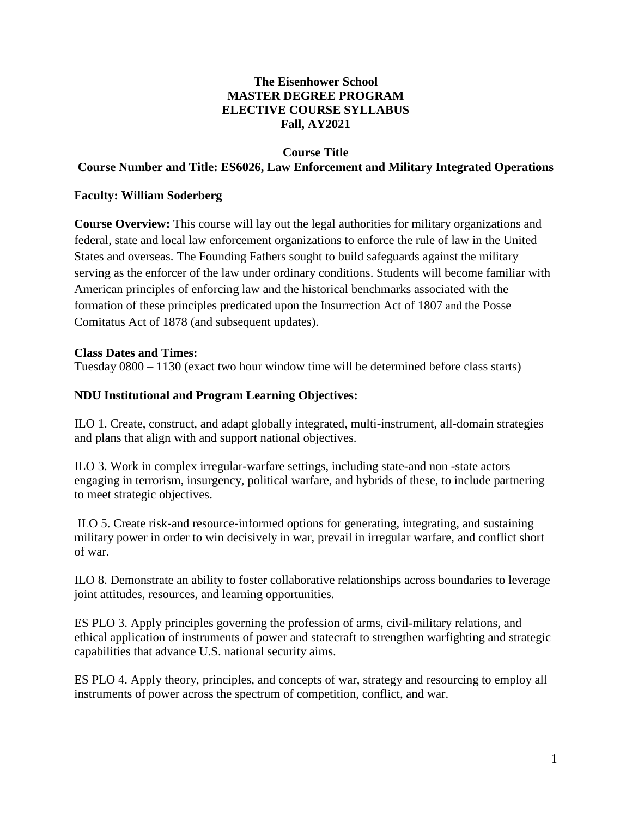## **The Eisenhower School MASTER DEGREE PROGRAM ELECTIVE COURSE SYLLABUS Fall, AY2021**

### **Course Title**

### **Course Number and Title: ES6026, Law Enforcement and Military Integrated Operations**

#### **Faculty: William Soderberg**

**Course Overview:** This course will lay out the legal authorities for military organizations and federal, state and local law enforcement organizations to enforce the rule of law in the United States and overseas. The Founding Fathers sought to build safeguards against the military serving as the enforcer of the law under ordinary conditions. Students will become familiar with American principles of enforcing law and the historical benchmarks associated with the formation of these principles predicated upon the Insurrection Act of 1807 and the Posse Comitatus Act of 1878 (and subsequent updates).

#### **Class Dates and Times:**

Tuesday 0800 – 1130 (exact two hour window time will be determined before class starts)

### **NDU Institutional and Program Learning Objectives:**

ILO 1. Create, construct, and adapt globally integrated, multi-instrument, all-domain strategies and plans that align with and support national objectives.

ILO 3. Work in complex irregular-warfare settings, including state-and non -state actors engaging in terrorism, insurgency, political warfare, and hybrids of these, to include partnering to meet strategic objectives.

ILO 5. Create risk-and resource-informed options for generating, integrating, and sustaining military power in order to win decisively in war, prevail in irregular warfare, and conflict short of war.

ILO 8. Demonstrate an ability to foster collaborative relationships across boundaries to leverage joint attitudes, resources, and learning opportunities.

ES PLO 3. Apply principles governing the profession of arms, civil-military relations, and ethical application of instruments of power and statecraft to strengthen warfighting and strategic capabilities that advance U.S. national security aims.

ES PLO 4. Apply theory, principles, and concepts of war, strategy and resourcing to employ all instruments of power across the spectrum of competition, conflict, and war.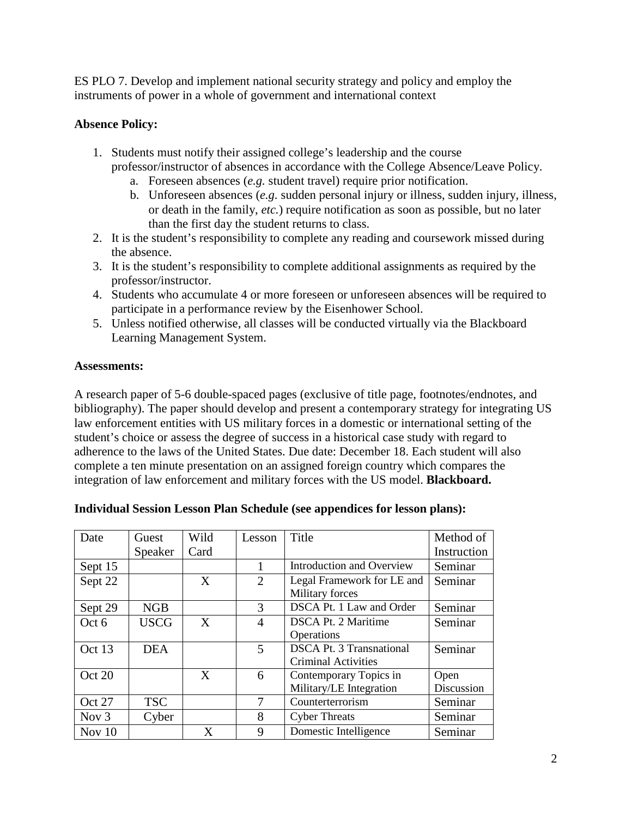ES PLO 7. Develop and implement national security strategy and policy and employ the instruments of power in a whole of government and international context

# **Absence Policy:**

- 1. Students must notify their assigned college's leadership and the course professor/instructor of absences in accordance with the College Absence/Leave Policy.
	- a. Foreseen absences (*e.g.* student travel) require prior notification.
	- b. Unforeseen absences (*e.g.* sudden personal injury or illness, sudden injury, illness, or death in the family, *etc.*) require notification as soon as possible, but no later than the first day the student returns to class.
- 2. It is the student's responsibility to complete any reading and coursework missed during the absence.
- 3. It is the student's responsibility to complete additional assignments as required by the professor/instructor.
- 4. Students who accumulate 4 or more foreseen or unforeseen absences will be required to participate in a performance review by the Eisenhower School.
- 5. Unless notified otherwise, all classes will be conducted virtually via the Blackboard Learning Management System.

# **Assessments:**

A research paper of 5-6 double-spaced pages (exclusive of title page, footnotes/endnotes, and bibliography). The paper should develop and present a contemporary strategy for integrating US law enforcement entities with US military forces in a domestic or international setting of the student's choice or assess the degree of success in a historical case study with regard to adherence to the laws of the United States. Due date: December 18. Each student will also complete a ten minute presentation on an assigned foreign country which compares the integration of law enforcement and military forces with the US model. **Blackboard.**

| Date    | Guest       | Wild | Lesson                      | Title                            | Method of   |
|---------|-------------|------|-----------------------------|----------------------------------|-------------|
|         | Speaker     | Card |                             |                                  | Instruction |
| Sept 15 |             |      |                             | <b>Introduction and Overview</b> | Seminar     |
| Sept 22 |             | X    | $\mathcal{D}_{\mathcal{L}}$ | Legal Framework for LE and       | Seminar     |
|         |             |      |                             | Military forces                  |             |
| Sept 29 | <b>NGB</b>  |      | 3                           | DSCA Pt. 1 Law and Order         | Seminar     |
| Oct 6   | <b>USCG</b> | X    | 4                           | <b>DSCA Pt. 2 Maritime</b>       | Seminar     |
|         |             |      |                             | Operations                       |             |
| Oct 13  | <b>DEA</b>  |      | 5                           | <b>DSCA Pt. 3 Transnational</b>  | Seminar     |
|         |             |      |                             | Criminal Activities              |             |
| Oct 20  |             | X    | 6                           | Contemporary Topics in           | Open        |
|         |             |      |                             | Military/LE Integration          | Discussion  |
| Oct 27  | <b>TSC</b>  |      | 7                           | Counterterrorism                 | Seminar     |
| Nov $3$ | Cyber       |      | 8                           | <b>Cyber Threats</b>             | Seminar     |
| Nov 10  |             | X    | 9                           | Domestic Intelligence            | Seminar     |

# **Individual Session Lesson Plan Schedule (see appendices for lesson plans):**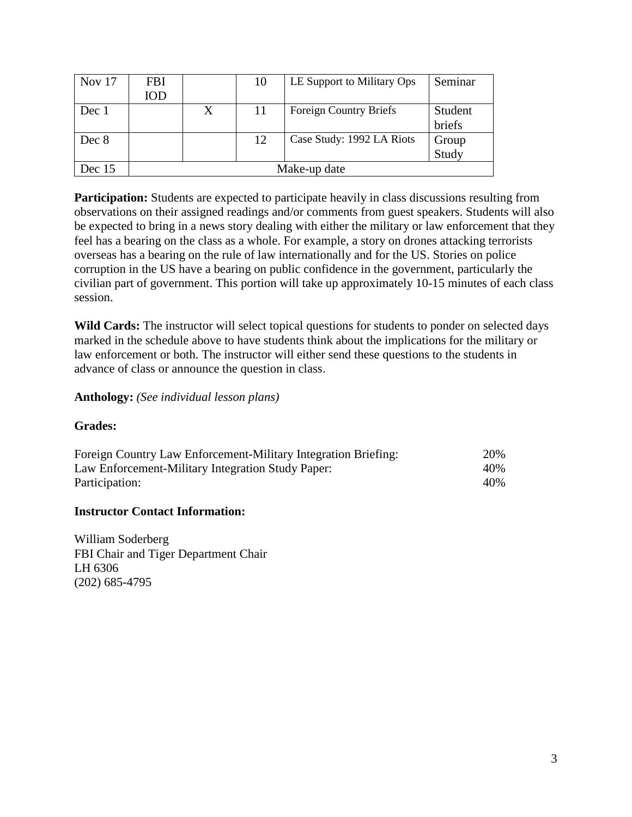| Nov $17$ | FBI          |   | 10  | LE Support to Military Ops | Seminar |  |
|----------|--------------|---|-----|----------------------------|---------|--|
|          | IOD          |   |     |                            |         |  |
| Dec 1    |              | X | -11 | Foreign Country Briefs     | Student |  |
|          |              |   |     |                            | briefs  |  |
| Dec 8    |              |   | 12  | Case Study: 1992 LA Riots  | Group   |  |
|          |              |   |     |                            | Study   |  |
| Dec $15$ | Make-up date |   |     |                            |         |  |

**Participation:** Students are expected to participate heavily in class discussions resulting from observations on their assigned readings and/or comments from guest speakers. Students will also be expected to bring in a news story dealing with either the military or law enforcement that they feel has a bearing on the class as a whole. For example, a story on drones attacking terrorists overseas has a bearing on the rule of law internationally and for the US. Stories on police corruption in the US have a bearing on public confidence in the government, particularly the civilian part of government. This portion will take up approximately 10-15 minutes of each class session.

**Wild Cards:** The instructor will select topical questions for students to ponder on selected days marked in the schedule above to have students think about the implications for the military or law enforcement or both. The instructor will either send these questions to the students in advance of class or announce the question in class.

#### **Anthology:** *(See individual lesson plans)*

#### **Grades:**

| Foreign Country Law Enforcement-Military Integration Briefing: | 20% |
|----------------------------------------------------------------|-----|
| Law Enforcement-Military Integration Study Paper:              | 40% |
| Participation:                                                 | 40% |

#### **Instructor Contact Information:**

William Soderberg FBI Chair and Tiger Department Chair LH 6306 (202) 685-4795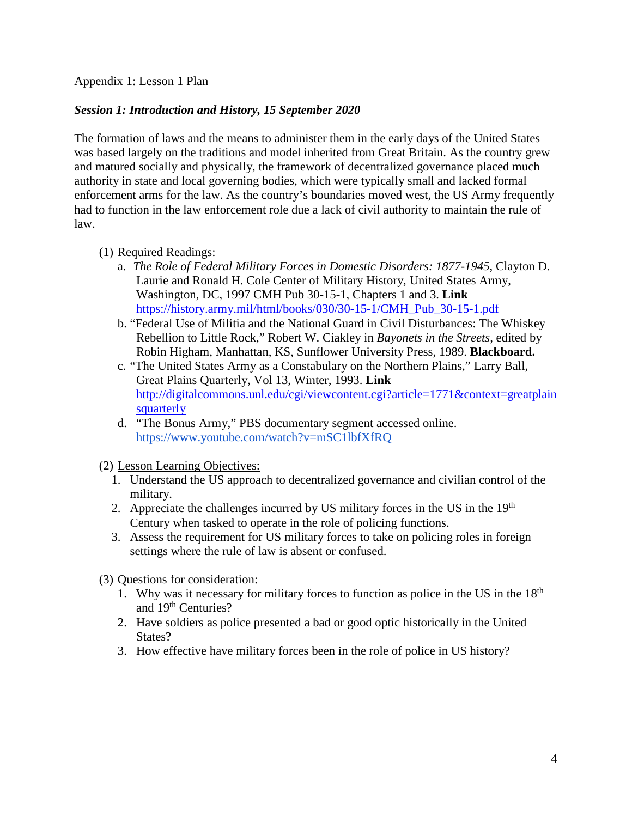Appendix 1: Lesson 1 Plan

# *Session 1: Introduction and History, 15 September 2020*

The formation of laws and the means to administer them in the early days of the United States was based largely on the traditions and model inherited from Great Britain. As the country grew and matured socially and physically, the framework of decentralized governance placed much authority in state and local governing bodies, which were typically small and lacked formal enforcement arms for the law. As the country's boundaries moved west, the US Army frequently had to function in the law enforcement role due a lack of civil authority to maintain the rule of law.

- (1) Required Readings:
	- a. *The Role of Federal Military Forces in Domestic Disorders: 1877-1945*, Clayton D. Laurie and Ronald H. Cole Center of Military History, United States Army, Washington, DC, 1997 CMH Pub 30-15-1, Chapters 1 and 3. **Link** [https://history.army.mil/html/books/030/30-15-1/CMH\\_Pub\\_30-15-1.pdf](https://history.army.mil/html/books/030/30-15-1/CMH_Pub_30-15-1.pdf)
	- b. "Federal Use of Militia and the National Guard in Civil Disturbances: The Whiskey Rebellion to Little Rock," Robert W. Ciakley in *Bayonets in the Streets,* edited by Robin Higham, Manhattan, KS, Sunflower University Press, 1989. **Blackboard.**
	- c. "The United States Army as a Constabulary on the Northern Plains," Larry Ball, Great Plains Quarterly, Vol 13, Winter, 1993. **Link** [http://digitalcommons.unl.edu/cgi/viewcontent.cgi?article=1771&context=greatplain](http://digitalcommons.unl.edu/cgi/viewcontent.cgi?article=1771&context=greatplainsquarterly) [squarterly](http://digitalcommons.unl.edu/cgi/viewcontent.cgi?article=1771&context=greatplainsquarterly)
	- d. "The Bonus Army," PBS documentary segment accessed online. <https://www.youtube.com/watch?v=mSC1lbfXfRQ>
- (2) Lesson Learning Objectives:
	- 1. Understand the US approach to decentralized governance and civilian control of the military.
	- 2. Appreciate the challenges incurred by US military forces in the US in the  $19<sup>th</sup>$ Century when tasked to operate in the role of policing functions.
	- 3. Assess the requirement for US military forces to take on policing roles in foreign settings where the rule of law is absent or confused.
- (3) Questions for consideration:
	- 1. Why was it necessary for military forces to function as police in the US in the  $18<sup>th</sup>$ and 19th Centuries?
	- 2. Have soldiers as police presented a bad or good optic historically in the United State<sub>s</sub>?
	- 3. How effective have military forces been in the role of police in US history?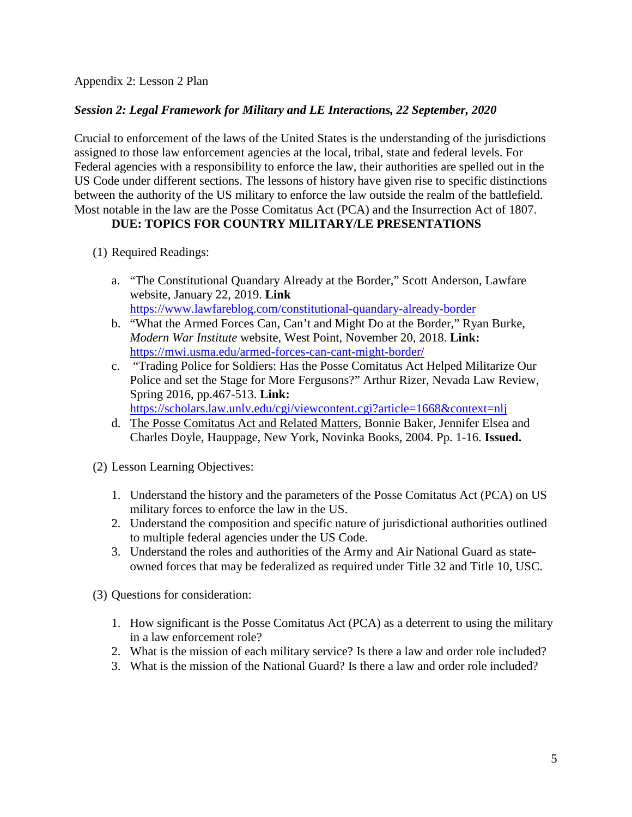### *Session 2: Legal Framework for Military and LE Interactions, 22 September, 2020*

Crucial to enforcement of the laws of the United States is the understanding of the jurisdictions assigned to those law enforcement agencies at the local, tribal, state and federal levels. For Federal agencies with a responsibility to enforce the law, their authorities are spelled out in the US Code under different sections. The lessons of history have given rise to specific distinctions between the authority of the US military to enforce the law outside the realm of the battlefield. Most notable in the law are the Posse Comitatus Act (PCA) and the Insurrection Act of 1807.

#### **DUE: TOPICS FOR COUNTRY MILITARY/LE PRESENTATIONS**

- (1) Required Readings:
	- a. "The Constitutional Quandary Already at the Border," Scott Anderson, Lawfare website, January 22, 2019. **Link**  <https://www.lawfareblog.com/constitutional-quandary-already-border>
	- b. "What the Armed Forces Can, Can't and Might Do at the Border," Ryan Burke, *Modern War Institute* website, West Point, November 20, 2018. **Link:** <https://mwi.usma.edu/armed-forces-can-cant-might-border/>
	- c. "Trading Police for Soldiers: Has the Posse Comitatus Act Helped Militarize Our Police and set the Stage for More Fergusons?" Arthur Rizer, Nevada Law Review, Spring 2016, pp.467-513. **Link:**

<https://scholars.law.unlv.edu/cgi/viewcontent.cgi?article=1668&context=nlj>

- d. The Posse Comitatus Act and Related Matters, Bonnie Baker, Jennifer Elsea and Charles Doyle, Hauppage, New York, Novinka Books, 2004. Pp. 1-16. **Issued.**
- (2) Lesson Learning Objectives:
	- 1. Understand the history and the parameters of the Posse Comitatus Act (PCA) on US military forces to enforce the law in the US.
	- 2. Understand the composition and specific nature of jurisdictional authorities outlined to multiple federal agencies under the US Code.
	- 3. Understand the roles and authorities of the Army and Air National Guard as stateowned forces that may be federalized as required under Title 32 and Title 10, USC.
- (3) Questions for consideration:
	- 1. How significant is the Posse Comitatus Act (PCA) as a deterrent to using the military in a law enforcement role?
	- 2. What is the mission of each military service? Is there a law and order role included?
	- 3. What is the mission of the National Guard? Is there a law and order role included?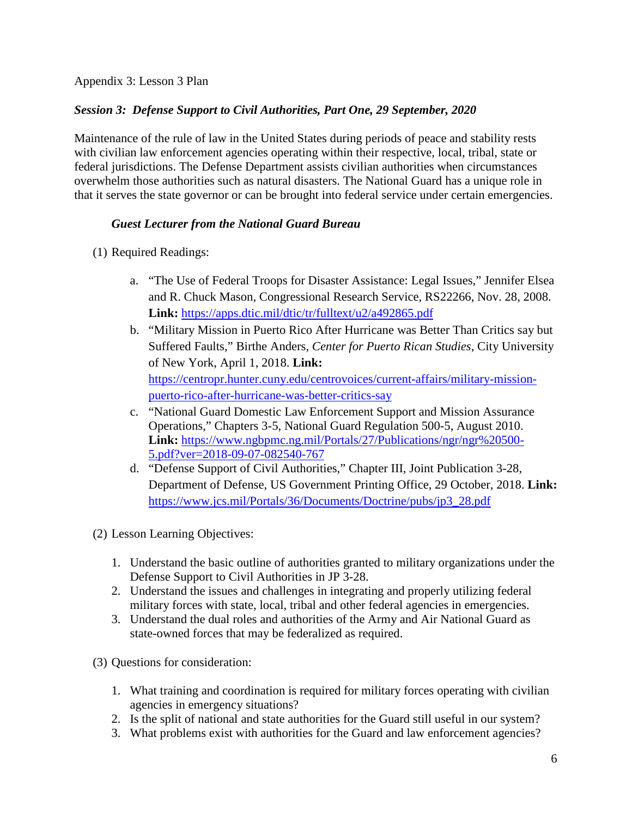Appendix 3: Lesson 3 Plan

# *Session 3: Defense Support to Civil Authorities, Part One, 29 September, 2020*

Maintenance of the rule of law in the United States during periods of peace and stability rests with civilian law enforcement agencies operating within their respective, local, tribal, state or federal jurisdictions. The Defense Department assists civilian authorities when circumstances overwhelm those authorities such as natural disasters. The National Guard has a unique role in that it serves the state governor or can be brought into federal service under certain emergencies.

## *Guest Lecturer from the National Guard Bureau*

- (1) Required Readings:
	- a. "The Use of Federal Troops for Disaster Assistance: Legal Issues," Jennifer Elsea and R. Chuck Mason, Congressional Research Service, RS22266, Nov. 28, 2008. **Link:** <https://apps.dtic.mil/dtic/tr/fulltext/u2/a492865.pdf>
	- b. "Military Mission in Puerto Rico After Hurricane was Better Than Critics say but Suffered Faults," Birthe Anders, *Center for Puerto Rican Studies*, City University of New York, April 1, 2018. **Link:** [https://centropr.hunter.cuny.edu/centrovoices/current-affairs/military-mission](https://centropr.hunter.cuny.edu/centrovoices/current-affairs/military-mission-puerto-rico-after-hurricane-was-better-critics-say)[puerto-rico-after-hurricane-was-better-critics-say](https://centropr.hunter.cuny.edu/centrovoices/current-affairs/military-mission-puerto-rico-after-hurricane-was-better-critics-say)
	- c. "National Guard Domestic Law Enforcement Support and Mission Assurance Operations," Chapters 3-5, National Guard Regulation 500-5, August 2010. **Link:** [https://www.ngbpmc.ng.mil/Portals/27/Publications/ngr/ngr%20500-](https://www.ngbpmc.ng.mil/Portals/27/Publications/ngr/ngr%20500-5.pdf?ver=2018-09-07-082540-767) [5.pdf?ver=2018-09-07-082540-767](https://www.ngbpmc.ng.mil/Portals/27/Publications/ngr/ngr%20500-5.pdf?ver=2018-09-07-082540-767)
	- d. "Defense Support of Civil Authorities," Chapter III, Joint Publication 3-28, Department of Defense, US Government Printing Office, 29 October, 2018. **Link:**  [https://www.jcs.mil/Portals/36/Documents/Doctrine/pubs/jp3\\_28.pdf](https://www.jcs.mil/Portals/36/Documents/Doctrine/pubs/jp3_28.pdf)
- (2) Lesson Learning Objectives:
	- 1. Understand the basic outline of authorities granted to military organizations under the Defense Support to Civil Authorities in JP 3-28.
	- 2. Understand the issues and challenges in integrating and properly utilizing federal military forces with state, local, tribal and other federal agencies in emergencies.
	- 3. Understand the dual roles and authorities of the Army and Air National Guard as state-owned forces that may be federalized as required.
- (3) Questions for consideration:
	- 1. What training and coordination is required for military forces operating with civilian agencies in emergency situations?
	- 2. Is the split of national and state authorities for the Guard still useful in our system?
	- 3. What problems exist with authorities for the Guard and law enforcement agencies?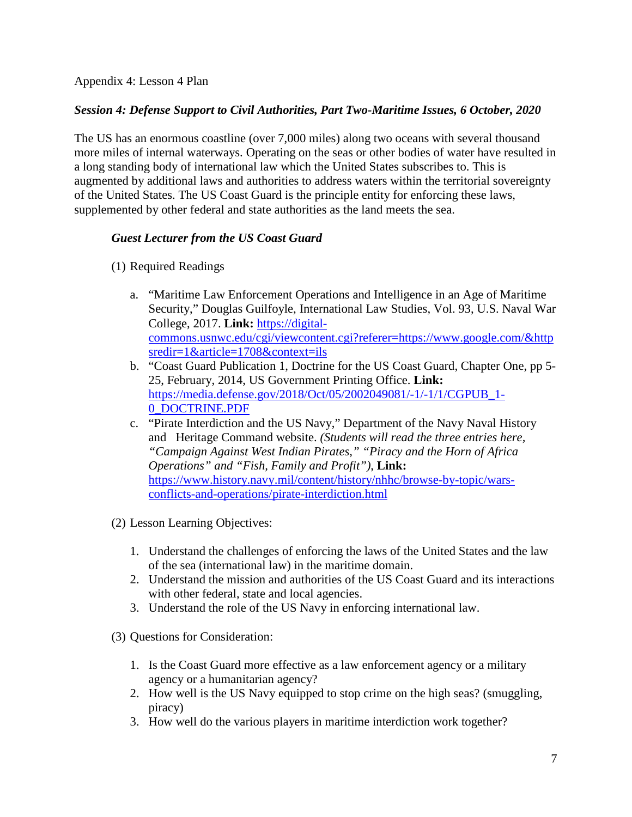Appendix 4: Lesson 4 Plan

# *Session 4: Defense Support to Civil Authorities, Part Two-Maritime Issues, 6 October, 2020*

The US has an enormous coastline (over 7,000 miles) along two oceans with several thousand more miles of internal waterways. Operating on the seas or other bodies of water have resulted in a long standing body of international law which the United States subscribes to. This is augmented by additional laws and authorities to address waters within the territorial sovereignty of the United States. The US Coast Guard is the principle entity for enforcing these laws, supplemented by other federal and state authorities as the land meets the sea.

# *Guest Lecturer from the US Coast Guard*

- (1) Required Readings
	- a. "Maritime Law Enforcement Operations and Intelligence in an Age of Maritime Security," Douglas Guilfoyle, International Law Studies, Vol. 93, U.S. Naval War College, 2017. **Link:** [https://digital](https://digital-commons.usnwc.edu/cgi/viewcontent.cgi?referer=https://www.google.com/&httpsredir=1&article=1708&context=ils)[commons.usnwc.edu/cgi/viewcontent.cgi?referer=https://www.google.com/&http](https://digital-commons.usnwc.edu/cgi/viewcontent.cgi?referer=https://www.google.com/&httpsredir=1&article=1708&context=ils) [sredir=1&article=1708&context=ils](https://digital-commons.usnwc.edu/cgi/viewcontent.cgi?referer=https://www.google.com/&httpsredir=1&article=1708&context=ils)
	- b. "Coast Guard Publication 1, Doctrine for the US Coast Guard, Chapter One, pp 5- 25, February, 2014, US Government Printing Office. **Link:** [https://media.defense.gov/2018/Oct/05/2002049081/-1/-1/1/CGPUB\\_1-](https://media.defense.gov/2018/Oct/05/2002049081/-1/-1/1/CGPUB_1-0_DOCTRINE.PDF) [0\\_DOCTRINE.PDF](https://media.defense.gov/2018/Oct/05/2002049081/-1/-1/1/CGPUB_1-0_DOCTRINE.PDF)
	- c. "Pirate Interdiction and the US Navy," Department of the Navy Naval History and Heritage Command website. *(Students will read the three entries here, "Campaign Against West Indian Pirates," "Piracy and the Horn of Africa Operations" and "Fish, Family and Profit")*, **Link:** [https://www.history.navy.mil/content/history/nhhc/browse-by-topic/wars](https://www.history.navy.mil/content/history/nhhc/browse-by-topic/wars-conflicts-and-operations/pirate-interdiction.html)[conflicts-and-operations/pirate-interdiction.html](https://www.history.navy.mil/content/history/nhhc/browse-by-topic/wars-conflicts-and-operations/pirate-interdiction.html)
- (2) Lesson Learning Objectives:
	- 1. Understand the challenges of enforcing the laws of the United States and the law of the sea (international law) in the maritime domain.
	- 2. Understand the mission and authorities of the US Coast Guard and its interactions with other federal, state and local agencies.
	- 3. Understand the role of the US Navy in enforcing international law.
- (3) Questions for Consideration:
	- 1. Is the Coast Guard more effective as a law enforcement agency or a military agency or a humanitarian agency?
	- 2. How well is the US Navy equipped to stop crime on the high seas? (smuggling, piracy)
	- 3. How well do the various players in maritime interdiction work together?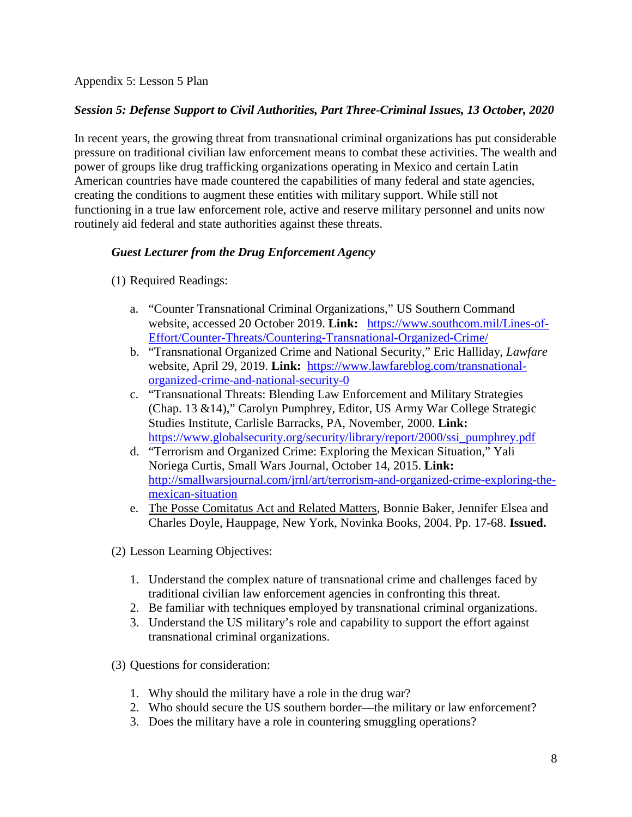Appendix 5: Lesson 5 Plan

# *Session 5: Defense Support to Civil Authorities, Part Three-Criminal Issues, 13 October, 2020*

In recent years, the growing threat from transnational criminal organizations has put considerable pressure on traditional civilian law enforcement means to combat these activities. The wealth and power of groups like drug trafficking organizations operating in Mexico and certain Latin American countries have made countered the capabilities of many federal and state agencies, creating the conditions to augment these entities with military support. While still not functioning in a true law enforcement role, active and reserve military personnel and units now routinely aid federal and state authorities against these threats.

# *Guest Lecturer from the Drug Enforcement Agency*

- (1) Required Readings:
	- a. "Counter Transnational Criminal Organizations," US Southern Command website, accessed 20 October 2019. **Link:** [https://www.southcom.mil/Lines-of-](https://www.southcom.mil/Lines-of-Effort/Counter-Threats/Countering-Transnational-Organized-Crime/)[Effort/Counter-Threats/Countering-Transnational-Organized-Crime/](https://www.southcom.mil/Lines-of-Effort/Counter-Threats/Countering-Transnational-Organized-Crime/)
	- b. "Transnational Organized Crime and National Security," Eric Halliday, *Lawfare* website, April 29, 2019. **Link:** [https://www.lawfareblog.com/transnational](https://www.lawfareblog.com/transnational-organized-crime-and-national-security-0)[organized-crime-and-national-security-0](https://www.lawfareblog.com/transnational-organized-crime-and-national-security-0)
	- c. "Transnational Threats: Blending Law Enforcement and Military Strategies (Chap. 13 &14)," Carolyn Pumphrey, Editor, US Army War College Strategic Studies Institute, Carlisle Barracks, PA, November, 2000. **Link:** [https://www.globalsecurity.org/security/library/report/2000/ssi\\_pumphrey.pdf](https://www.globalsecurity.org/security/library/report/2000/ssi_pumphrey.pdf)
	- d. "Terrorism and Organized Crime: Exploring the Mexican Situation," Yali Noriega Curtis, Small Wars Journal, October 14, 2015. **Link:** [http://smallwarsjournal.com/jrnl/art/terrorism-and-organized-crime-exploring-the](http://smallwarsjournal.com/jrnl/art/terrorism-and-organized-crime-exploring-the-mexican-situation)[mexican-situation](http://smallwarsjournal.com/jrnl/art/terrorism-and-organized-crime-exploring-the-mexican-situation)
	- e. The Posse Comitatus Act and Related Matters, Bonnie Baker, Jennifer Elsea and Charles Doyle, Hauppage, New York, Novinka Books, 2004. Pp. 17-68. **Issued.**

(2) Lesson Learning Objectives:

- 1. Understand the complex nature of transnational crime and challenges faced by traditional civilian law enforcement agencies in confronting this threat.
- 2. Be familiar with techniques employed by transnational criminal organizations.
- 3. Understand the US military's role and capability to support the effort against transnational criminal organizations.
- (3) Questions for consideration:
	- 1. Why should the military have a role in the drug war?
	- 2. Who should secure the US southern border—the military or law enforcement?
	- 3. Does the military have a role in countering smuggling operations?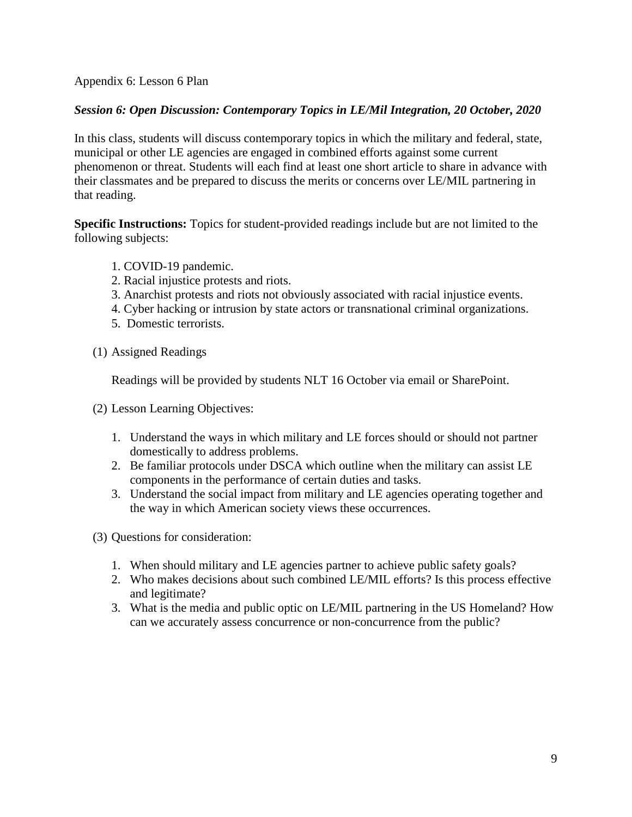Appendix 6: Lesson 6 Plan

### *Session 6: Open Discussion: Contemporary Topics in LE/Mil Integration, 20 October, 2020*

In this class, students will discuss contemporary topics in which the military and federal, state, municipal or other LE agencies are engaged in combined efforts against some current phenomenon or threat. Students will each find at least one short article to share in advance with their classmates and be prepared to discuss the merits or concerns over LE/MIL partnering in that reading.

**Specific Instructions:** Topics for student-provided readings include but are not limited to the following subjects:

- 1. COVID-19 pandemic.
- 2. Racial injustice protests and riots.
- 3. Anarchist protests and riots not obviously associated with racial injustice events.
- 4. Cyber hacking or intrusion by state actors or transnational criminal organizations.
- 5. Domestic terrorists.
- (1) Assigned Readings

Readings will be provided by students NLT 16 October via email or SharePoint.

(2) Lesson Learning Objectives:

- 1. Understand the ways in which military and LE forces should or should not partner domestically to address problems.
- 2. Be familiar protocols under DSCA which outline when the military can assist LE components in the performance of certain duties and tasks.
- 3. Understand the social impact from military and LE agencies operating together and the way in which American society views these occurrences.
- (3) Questions for consideration:
	- 1. When should military and LE agencies partner to achieve public safety goals?
	- 2. Who makes decisions about such combined LE/MIL efforts? Is this process effective and legitimate?
	- 3. What is the media and public optic on LE/MIL partnering in the US Homeland? How can we accurately assess concurrence or non-concurrence from the public?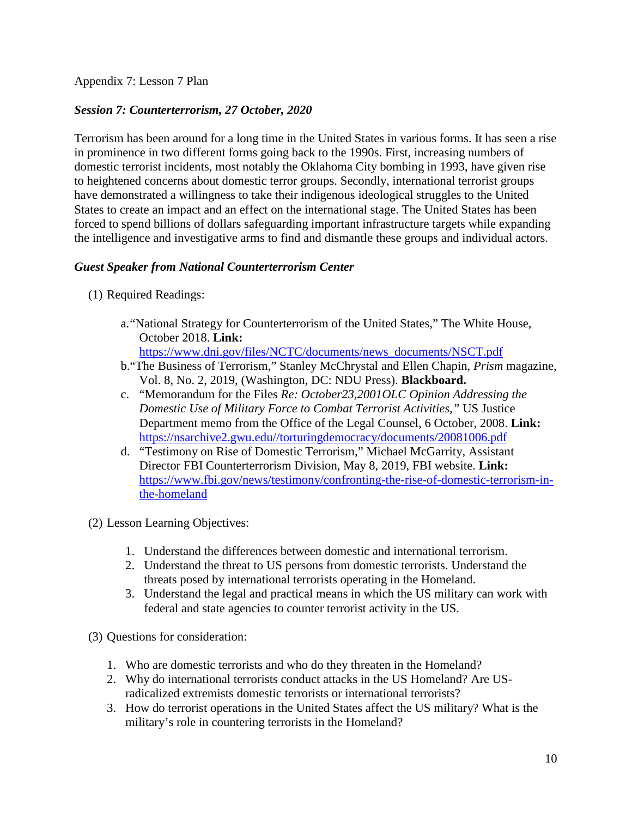Appendix 7: Lesson 7 Plan

## *Session 7: Counterterrorism, 27 October, 2020*

Terrorism has been around for a long time in the United States in various forms. It has seen a rise in prominence in two different forms going back to the 1990s. First, increasing numbers of domestic terrorist incidents, most notably the Oklahoma City bombing in 1993, have given rise to heightened concerns about domestic terror groups. Secondly, international terrorist groups have demonstrated a willingness to take their indigenous ideological struggles to the United States to create an impact and an effect on the international stage. The United States has been forced to spend billions of dollars safeguarding important infrastructure targets while expanding the intelligence and investigative arms to find and dismantle these groups and individual actors.

## *Guest Speaker from National Counterterrorism Center*

- (1) Required Readings:
	- a."National Strategy for Counterterrorism of the United States," The White House, October 2018. **Link:**

[https://www.dni.gov/files/NCTC/documents/news\\_documents/NSCT.pdf](https://www.dni.gov/files/NCTC/documents/news_documents/NSCT.pdf)

- b."The Business of Terrorism," Stanley McChrystal and Ellen Chapin, *Prism* magazine, Vol. 8, No. 2, 2019, (Washington, DC: NDU Press). **Blackboard.**
- c. "Memorandum for the Files *Re: October23,2001OLC Opinion Addressing the Domestic Use of Military Force to Combat Terrorist Activities,"* US Justice Department memo from the Office of the Legal Counsel, 6 October, 2008. **Link:** [https://nsarchive2.gwu.edu//torturingdemocracy/documents/20081006.pdf](https://nsarchive2.gwu.edu/torturingdemocracy/documents/20081006.pdf)
- d. "Testimony on Rise of Domestic Terrorism," Michael McGarrity, Assistant Director FBI Counterterrorism Division, May 8, 2019, FBI website. **Link:** [https://www.fbi.gov/news/testimony/confronting-the-rise-of-domestic-terrorism-in](https://www.fbi.gov/news/testimony/confronting-the-rise-of-domestic-terrorism-in-the-homeland)[the-homeland](https://www.fbi.gov/news/testimony/confronting-the-rise-of-domestic-terrorism-in-the-homeland)
- (2) Lesson Learning Objectives:
	- 1. Understand the differences between domestic and international terrorism.
	- 2. Understand the threat to US persons from domestic terrorists. Understand the threats posed by international terrorists operating in the Homeland.
	- 3. Understand the legal and practical means in which the US military can work with federal and state agencies to counter terrorist activity in the US.
- (3) Questions for consideration:
	- 1. Who are domestic terrorists and who do they threaten in the Homeland?
	- 2. Why do international terrorists conduct attacks in the US Homeland? Are USradicalized extremists domestic terrorists or international terrorists?
	- 3. How do terrorist operations in the United States affect the US military? What is the military's role in countering terrorists in the Homeland?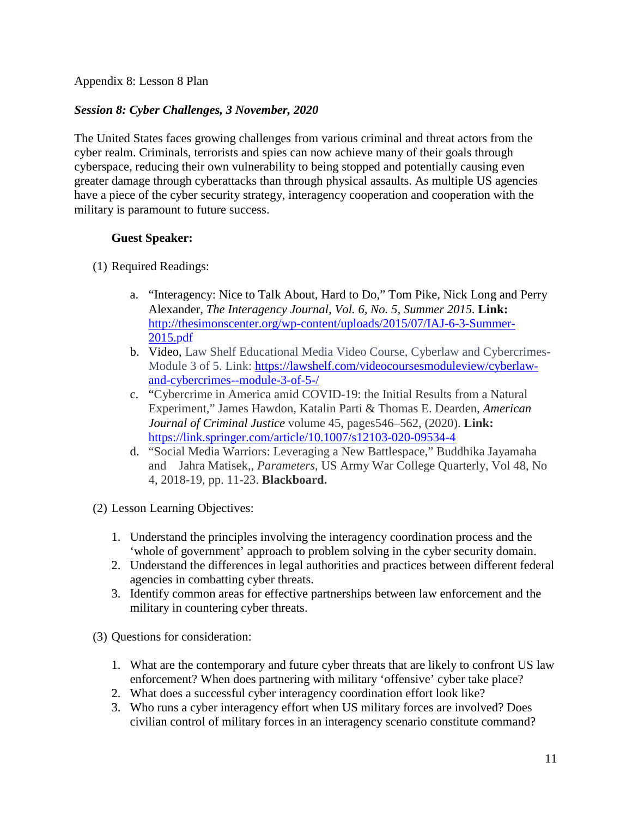Appendix 8: Lesson 8 Plan

# *Session 8: Cyber Challenges, 3 November, 2020*

The United States faces growing challenges from various criminal and threat actors from the cyber realm. Criminals, terrorists and spies can now achieve many of their goals through cyberspace, reducing their own vulnerability to being stopped and potentially causing even greater damage through cyberattacks than through physical assaults. As multiple US agencies have a piece of the cyber security strategy, interagency cooperation and cooperation with the military is paramount to future success.

## **Guest Speaker:**

- (1) Required Readings:
	- a. "Interagency: Nice to Talk About, Hard to Do," Tom Pike, Nick Long and Perry Alexander, *The Interagency Journal, Vol. 6, No. 5, Summer 2015.* **Link:**  [http://thesimonscenter.org/wp-content/uploads/2015/07/IAJ-6-3-Summer-](http://thesimonscenter.org/wp-content/uploads/2015/07/IAJ-6-3-Summer-2015.pdf)[2015.pdf](http://thesimonscenter.org/wp-content/uploads/2015/07/IAJ-6-3-Summer-2015.pdf)
	- b. Video, Law Shelf Educational Media Video Course, Cyberlaw and Cybercrimes-Module 3 of 5. Link: [https://lawshelf.com/videocoursesmoduleview/cyberlaw](https://lawshelf.com/videocoursesmoduleview/cyberlaw-and-cybercrimes--module-3-of-5-/)[and-cybercrimes--module-3-of-5-/](https://lawshelf.com/videocoursesmoduleview/cyberlaw-and-cybercrimes--module-3-of-5-/)
	- c. "Cybercrime in America amid COVID-19: the Initial Results from a Natural Experiment," James Hawdon, Katalin Parti & Thomas E. Dearden, *[American](https://link.springer.com/journal/12103)  [Journal of Criminal Justice](https://link.springer.com/journal/12103)* volume 45, pages546–562, (2020). **Link:** <https://link.springer.com/article/10.1007/s12103-020-09534-4>
	- d. "Social Media Warriors: Leveraging a New Battlespace," Buddhika Jayamaha and Jahra Matisek,, *Parameters,* US Army War College Quarterly, Vol 48, No 4, 2018-19, pp. 11-23. **Blackboard.**
- (2) Lesson Learning Objectives:
	- 1. Understand the principles involving the interagency coordination process and the 'whole of government' approach to problem solving in the cyber security domain.
	- 2. Understand the differences in legal authorities and practices between different federal agencies in combatting cyber threats.
	- 3. Identify common areas for effective partnerships between law enforcement and the military in countering cyber threats.
- (3) Questions for consideration:
	- 1. What are the contemporary and future cyber threats that are likely to confront US law enforcement? When does partnering with military 'offensive' cyber take place?
	- 2. What does a successful cyber interagency coordination effort look like?
	- 3. Who runs a cyber interagency effort when US military forces are involved? Does civilian control of military forces in an interagency scenario constitute command?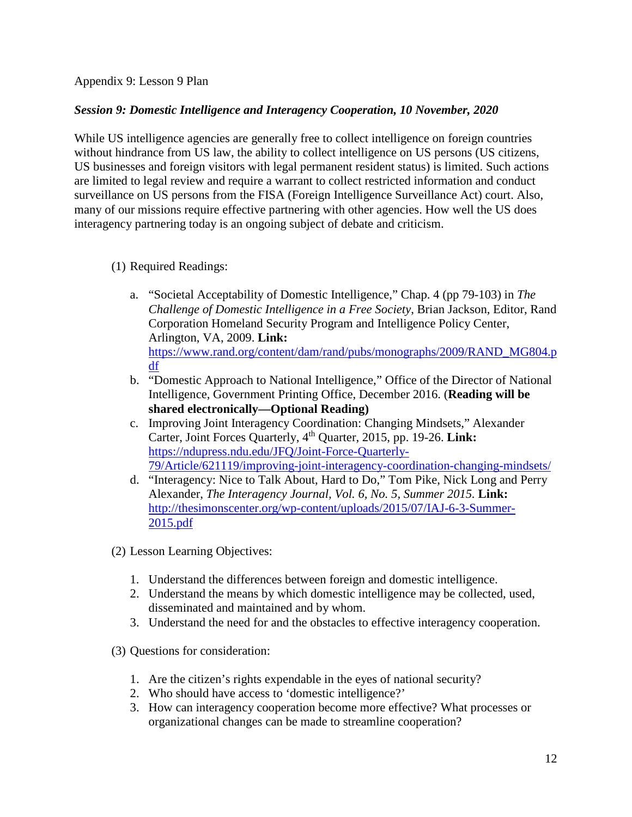Appendix 9: Lesson 9 Plan

### *Session 9: Domestic Intelligence and Interagency Cooperation, 10 November, 2020*

While US intelligence agencies are generally free to collect intelligence on foreign countries without hindrance from US law, the ability to collect intelligence on US persons (US citizens, US businesses and foreign visitors with legal permanent resident status) is limited. Such actions are limited to legal review and require a warrant to collect restricted information and conduct surveillance on US persons from the FISA (Foreign Intelligence Surveillance Act) court. Also, many of our missions require effective partnering with other agencies. How well the US does interagency partnering today is an ongoing subject of debate and criticism.

- (1) Required Readings:
	- a. "Societal Acceptability of Domestic Intelligence," Chap. 4 (pp 79-103) in *The Challenge of Domestic Intelligence in a Free Society*, Brian Jackson, Editor, Rand Corporation Homeland Security Program and Intelligence Policy Center, Arlington, VA, 2009. **Link:**  [https://www.rand.org/content/dam/rand/pubs/monographs/2009/RAND\\_MG804.p](https://www.rand.org/content/dam/rand/pubs/monographs/2009/RAND_MG804.pdf) [df](https://www.rand.org/content/dam/rand/pubs/monographs/2009/RAND_MG804.pdf)
	- b. "Domestic Approach to National Intelligence," Office of the Director of National Intelligence, Government Printing Office, December 2016. (**Reading will be shared electronically—Optional Reading)**
	- c. Improving Joint Interagency Coordination: Changing Mindsets," Alexander Carter, Joint Forces Quarterly, 4th Quarter, 2015, pp. 19-26. **Link:**  [https://ndupress.ndu.edu/JFQ/Joint-Force-Quarterly-](https://ndupress.ndu.edu/JFQ/Joint-Force-Quarterly-79/Article/621119/improving-joint-interagency-coordination-changing-mindsets/)[79/Article/621119/improving-joint-interagency-coordination-changing-mindsets/](https://ndupress.ndu.edu/JFQ/Joint-Force-Quarterly-79/Article/621119/improving-joint-interagency-coordination-changing-mindsets/)
	- d. "Interagency: Nice to Talk About, Hard to Do," Tom Pike, Nick Long and Perry Alexander, *The Interagency Journal, Vol. 6, No. 5, Summer 2015.* **Link:**  [http://thesimonscenter.org/wp-content/uploads/2015/07/IAJ-6-3-Summer-](http://thesimonscenter.org/wp-content/uploads/2015/07/IAJ-6-3-Summer-2015.pdf)[2015.pdf](http://thesimonscenter.org/wp-content/uploads/2015/07/IAJ-6-3-Summer-2015.pdf)

(2) Lesson Learning Objectives:

- 1. Understand the differences between foreign and domestic intelligence.
- 2. Understand the means by which domestic intelligence may be collected, used, disseminated and maintained and by whom.
- 3. Understand the need for and the obstacles to effective interagency cooperation.

(3) Questions for consideration:

- 1. Are the citizen's rights expendable in the eyes of national security?
- 2. Who should have access to 'domestic intelligence?'
- 3. How can interagency cooperation become more effective? What processes or organizational changes can be made to streamline cooperation?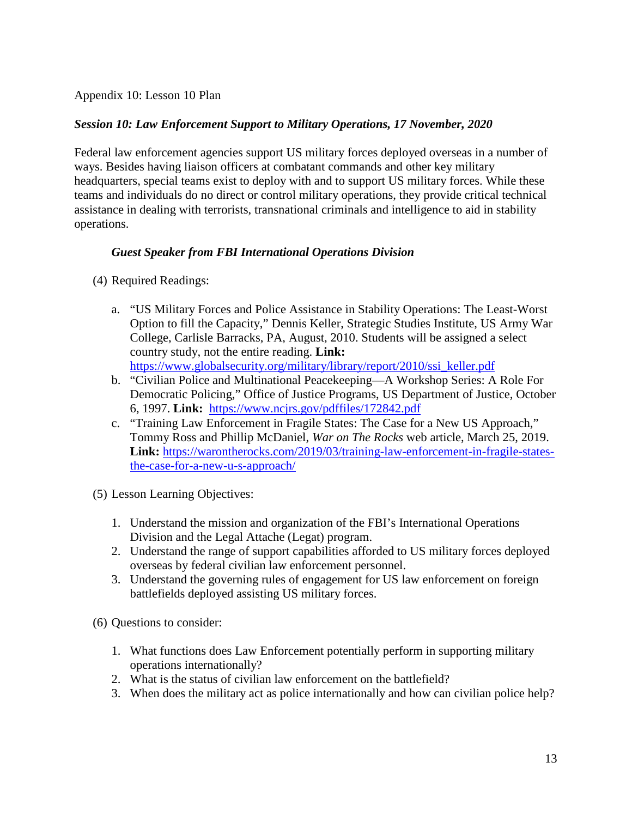Appendix 10: Lesson 10 Plan

### *Session 10: Law Enforcement Support to Military Operations, 17 November, 2020*

Federal law enforcement agencies support US military forces deployed overseas in a number of ways. Besides having liaison officers at combatant commands and other key military headquarters, special teams exist to deploy with and to support US military forces. While these teams and individuals do no direct or control military operations, they provide critical technical assistance in dealing with terrorists, transnational criminals and intelligence to aid in stability operations.

### *Guest Speaker from FBI International Operations Division*

- (4) Required Readings:
	- a. "US Military Forces and Police Assistance in Stability Operations: The Least-Worst Option to fill the Capacity," Dennis Keller, Strategic Studies Institute, US Army War College, Carlisle Barracks, PA, August, 2010. Students will be assigned a select country study, not the entire reading. **Link:**  [https://www.globalsecurity.org/military/library/report/2010/ssi\\_keller.pdf](https://www.globalsecurity.org/military/library/report/2010/ssi_keller.pdf)
	- b. "Civilian Police and Multinational Peacekeeping—A Workshop Series: A Role For Democratic Policing," Office of Justice Programs, US Department of Justice, October 6, 1997. **Link:** <https://www.ncjrs.gov/pdffiles/172842.pdf>
	- c. "Training Law Enforcement in Fragile States: The Case for a New US Approach," Tommy Ross and Phillip McDaniel, *War on The Rocks* web article, March 25, 2019. **Link:** [https://warontherocks.com/2019/03/training-law-enforcement-in-fragile-states](https://warontherocks.com/2019/03/training-law-enforcement-in-fragile-states-the-case-for-a-new-u-s-approach/)[the-case-for-a-new-u-s-approach/](https://warontherocks.com/2019/03/training-law-enforcement-in-fragile-states-the-case-for-a-new-u-s-approach/)
- (5) Lesson Learning Objectives:
	- 1. Understand the mission and organization of the FBI's International Operations Division and the Legal Attache (Legat) program.
	- 2. Understand the range of support capabilities afforded to US military forces deployed overseas by federal civilian law enforcement personnel.
	- 3. Understand the governing rules of engagement for US law enforcement on foreign battlefields deployed assisting US military forces.

(6) Questions to consider:

- 1. What functions does Law Enforcement potentially perform in supporting military operations internationally?
- 2. What is the status of civilian law enforcement on the battlefield?
- 3. When does the military act as police internationally and how can civilian police help?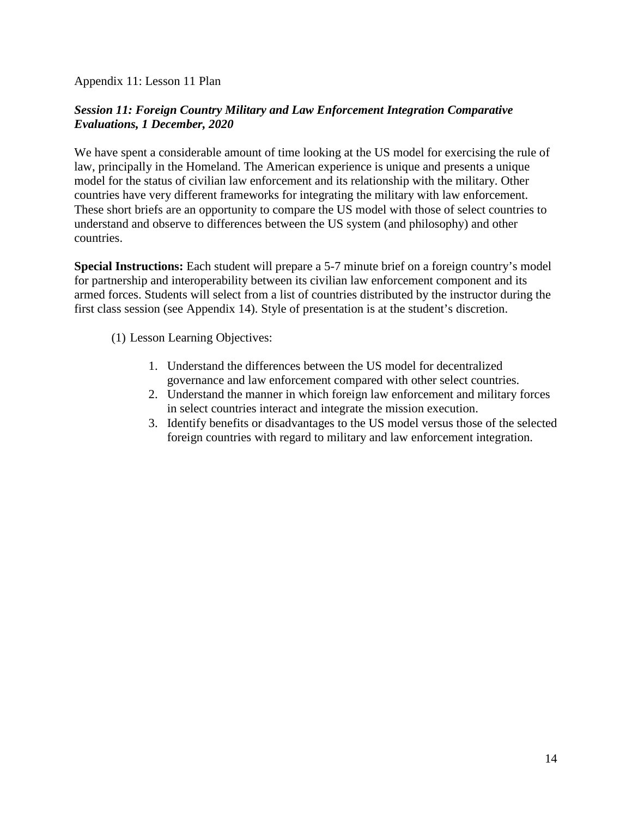Appendix 11: Lesson 11 Plan

## *Session 11: Foreign Country Military and Law Enforcement Integration Comparative Evaluations, 1 December, 2020*

We have spent a considerable amount of time looking at the US model for exercising the rule of law, principally in the Homeland. The American experience is unique and presents a unique model for the status of civilian law enforcement and its relationship with the military. Other countries have very different frameworks for integrating the military with law enforcement. These short briefs are an opportunity to compare the US model with those of select countries to understand and observe to differences between the US system (and philosophy) and other countries.

**Special Instructions:** Each student will prepare a 5-7 minute brief on a foreign country's model for partnership and interoperability between its civilian law enforcement component and its armed forces. Students will select from a list of countries distributed by the instructor during the first class session (see Appendix 14). Style of presentation is at the student's discretion.

(1) Lesson Learning Objectives:

- 1. Understand the differences between the US model for decentralized governance and law enforcement compared with other select countries.
- 2. Understand the manner in which foreign law enforcement and military forces in select countries interact and integrate the mission execution.
- 3. Identify benefits or disadvantages to the US model versus those of the selected foreign countries with regard to military and law enforcement integration.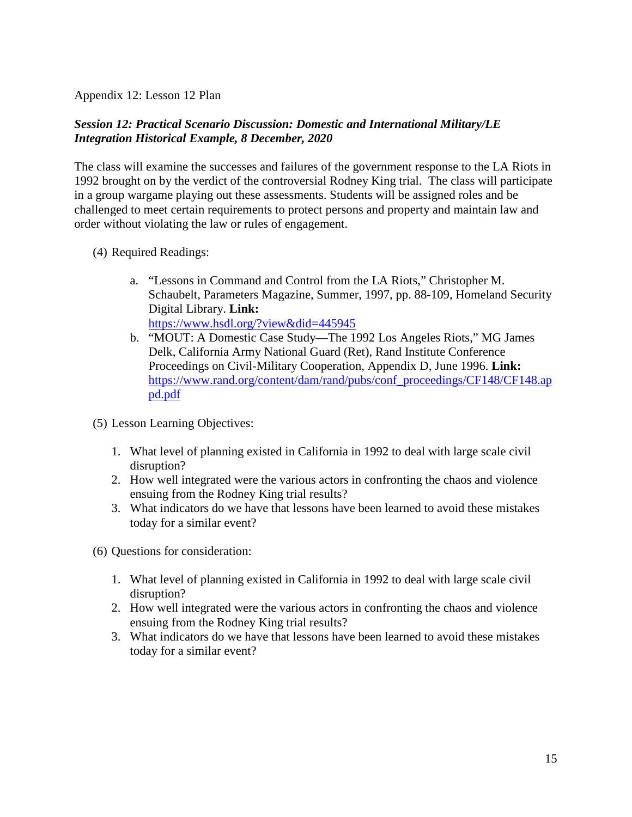Appendix 12: Lesson 12 Plan

## *Session 12: Practical Scenario Discussion: Domestic and International Military/LE Integration Historical Example, 8 December, 2020*

The class will examine the successes and failures of the government response to the LA Riots in 1992 brought on by the verdict of the controversial Rodney King trial. The class will participate in a group wargame playing out these assessments. Students will be assigned roles and be challenged to meet certain requirements to protect persons and property and maintain law and order without violating the law or rules of engagement.

- (4) Required Readings:
	- a. "Lessons in Command and Control from the LA Riots," Christopher M. Schaubelt, Parameters Magazine, Summer, 1997, pp. 88-109, Homeland Security Digital Library. **Link:**  <https://www.hsdl.org/?view&did=445945>
	- b. "MOUT: A Domestic Case Study—The 1992 Los Angeles Riots," MG James Delk, California Army National Guard (Ret), Rand Institute Conference Proceedings on Civil-Military Cooperation, Appendix D, June 1996. **Link:**  [https://www.rand.org/content/dam/rand/pubs/conf\\_proceedings/CF148/CF148.ap](https://www.rand.org/content/dam/rand/pubs/conf_proceedings/CF148/CF148.appd.pdf) [pd.pdf](https://www.rand.org/content/dam/rand/pubs/conf_proceedings/CF148/CF148.appd.pdf)
- (5) Lesson Learning Objectives:
	- 1. What level of planning existed in California in 1992 to deal with large scale civil disruption?
	- 2. How well integrated were the various actors in confronting the chaos and violence ensuing from the Rodney King trial results?
	- 3. What indicators do we have that lessons have been learned to avoid these mistakes today for a similar event?
- (6) Questions for consideration:
	- 1. What level of planning existed in California in 1992 to deal with large scale civil disruption?
	- 2. How well integrated were the various actors in confronting the chaos and violence ensuing from the Rodney King trial results?
	- 3. What indicators do we have that lessons have been learned to avoid these mistakes today for a similar event?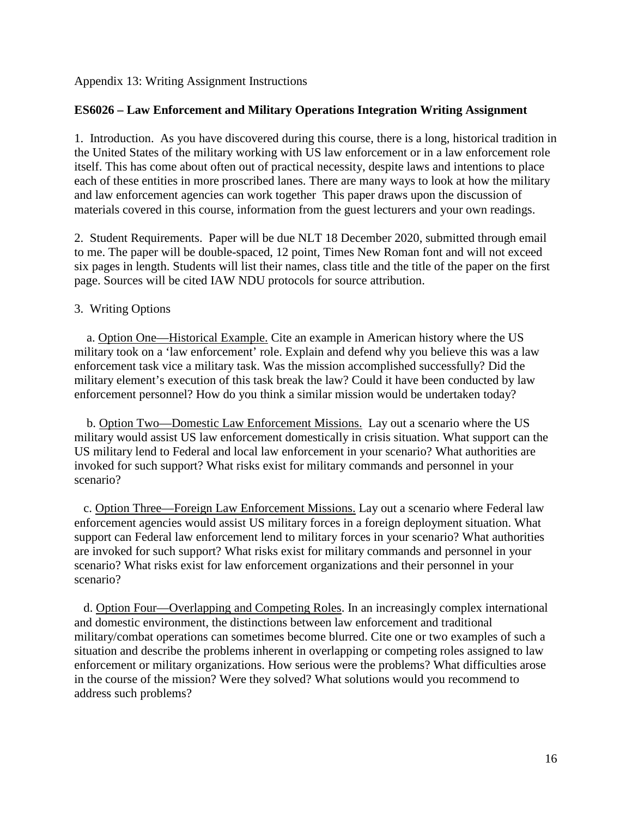Appendix 13: Writing Assignment Instructions

#### **ES6026 – Law Enforcement and Military Operations Integration Writing Assignment**

1. Introduction. As you have discovered during this course, there is a long, historical tradition in the United States of the military working with US law enforcement or in a law enforcement role itself. This has come about often out of practical necessity, despite laws and intentions to place each of these entities in more proscribed lanes. There are many ways to look at how the military and law enforcement agencies can work together This paper draws upon the discussion of materials covered in this course, information from the guest lecturers and your own readings.

2. Student Requirements. Paper will be due NLT 18 December 2020, submitted through email to me. The paper will be double-spaced, 12 point, Times New Roman font and will not exceed six pages in length. Students will list their names, class title and the title of the paper on the first page. Sources will be cited IAW NDU protocols for source attribution.

#### 3. Writing Options

 a. Option One—Historical Example. Cite an example in American history where the US military took on a 'law enforcement' role. Explain and defend why you believe this was a law enforcement task vice a military task. Was the mission accomplished successfully? Did the military element's execution of this task break the law? Could it have been conducted by law enforcement personnel? How do you think a similar mission would be undertaken today?

 b. Option Two—Domestic Law Enforcement Missions. Lay out a scenario where the US military would assist US law enforcement domestically in crisis situation. What support can the US military lend to Federal and local law enforcement in your scenario? What authorities are invoked for such support? What risks exist for military commands and personnel in your scenario?

 c. Option Three—Foreign Law Enforcement Missions. Lay out a scenario where Federal law enforcement agencies would assist US military forces in a foreign deployment situation. What support can Federal law enforcement lend to military forces in your scenario? What authorities are invoked for such support? What risks exist for military commands and personnel in your scenario? What risks exist for law enforcement organizations and their personnel in your scenario?

 d. Option Four—Overlapping and Competing Roles. In an increasingly complex international and domestic environment, the distinctions between law enforcement and traditional military/combat operations can sometimes become blurred. Cite one or two examples of such a situation and describe the problems inherent in overlapping or competing roles assigned to law enforcement or military organizations. How serious were the problems? What difficulties arose in the course of the mission? Were they solved? What solutions would you recommend to address such problems?